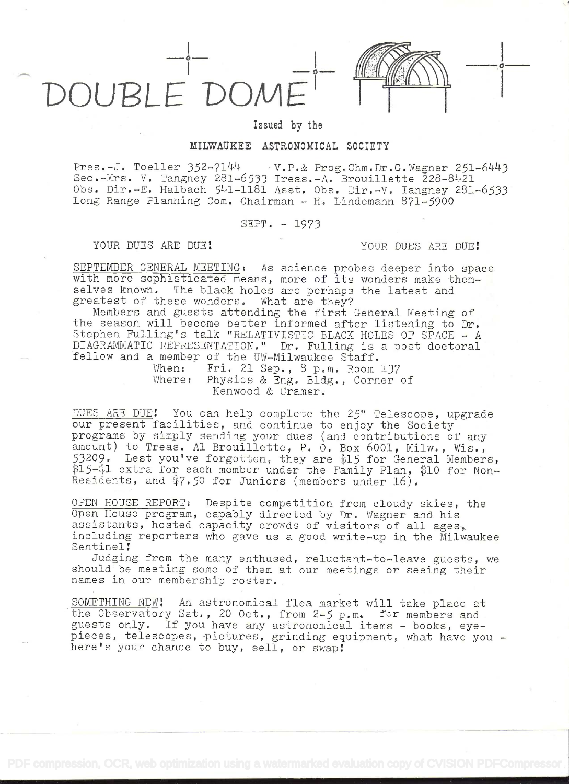



 $\circ$  ——

Issued by the

## MILWAUKEE ASTRONOMICAL SOCIETY

Pres.-J. Toeller 352\_71L14 V.P.& Prog.Chm.Dr.G.Wagner 251-61443 Sec.-Mrs. V. Tangney 281-6533 Treas.-A. Brouillette 228-8421 Obs. Dir.-E. Halbach 541-1181 Asst. Obs. Dir.-V. Tangney 281-6533 Long Range Planning Com. Chairman - H. Lindemann 871-5900

SEPT. - 1973

YOUR DUES ARE DUE! YOUR DUES ARE DUE!

SEPTEMBER GENERAL MEETING: As science probes deeper into space with more sophisticated means, more of its wonders make themselves known. The black holes are perhaps the latest and greatest of these wonders. What are they?

Members and guests attending the first General Meeting of the season will become better informed after listening to Dr. Stephen Fulling's talk "RELATIVISTIC BLACK HOLES OF SPACE - A DIAGRAMMATIC REPRESENTATION." Dr. Fulling is a post doctoral fellow and a member of the UW-Milwaukee Staff.

When: Fri. 21 Sep., 8 p.m. Room 137 Where: Physics & Eng. Bldg., Corner of Kenwood & Cramer.

DUES ARE DUE! You can help complete the 25" Telescope, upgrade our present facilities, and continue to enjoy the Society programs by simply sending your dues (and contributions of any amount) to Treas. Al Brouillette, P. O. Box 6001, Milw., Wis.,  $53209$ . Lest you've forgotten, they are \$15 for General Members, \$15-\$1 extra for each member under the Family Plan, \$10 for Non-Residents, and \$7.50 for Juniors (members under 16).

OPEN HOUSE REPORT: Despite competition from cloudy skies, the Open House program, capably directed by Dr. Wagner and his assistants, hosted capacity crowds of visitors of all ages, including reporters who gave us a good write-up in the Milwaukee Sentinel!

Judging from the many enthused, reluctant-to-leave guests, we should be meeting some of them at our meetings or seeing their names in our membership roster.

SOMETHING NEW! An astronomical flea market will take place at the Observatory Sat., 20 Oct., from 2-5 p.m. for members and guests only. If you have any astronomical items - books, eyepieces, telescopes, pictures, grinding equipment, what have you - here's your chance to buy, sell, or swap!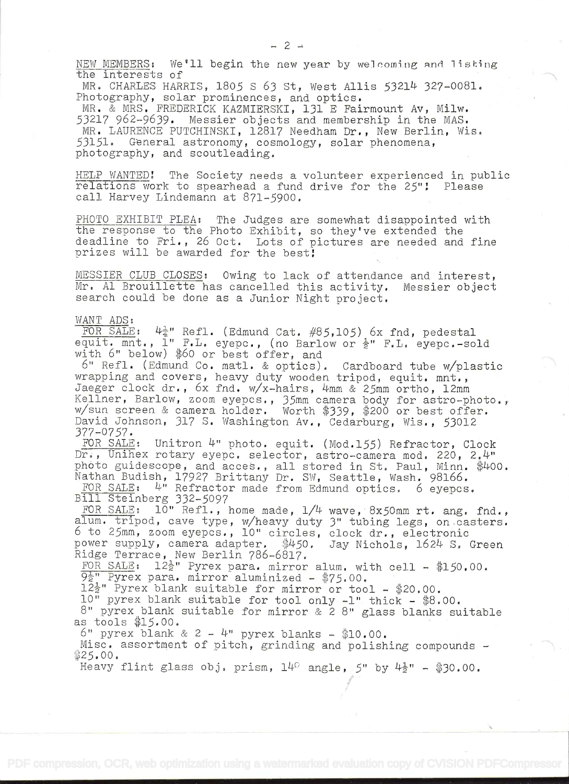NEW MEMBERS: We'll begin the new year by welcoming and listing<br>the interests of

MR. CHARLES HARRIS,  $1805$  S 63 St, West Allis  $53214$  327-0081. Photography, solar prominences, and optics.

MR. & MRS. FREDERICK KAZMIERSKI, 131 E Fairmount Av, Milw. 53217 962-9639. Messier objects and membership in the MAS. MR. LAURENCE PUTCHINSKI, 12817 Needham Dr., New Berlin, Wis. 53151. General astronomy, cosmology, solar phenomena, photography, and scoutleading.

HELP WANTED! The Society needs a volunteer experienced in public<br>relations work to spearhead a fund drive for the 25"! Please<br>call Harvey Lindemann at 871-5900.

PHOTO EXHIBIT PLEA: The Judges are somewhat disappointed with the response to the Photo Exhibit, so they've extended the deadline to Fri., 26 Oct. Lots of pictures are needed and fine prizes will be awarded for the best!

MESSIER CLUB CLOSES: Owing to lack of attendance and interest, Mr. Al Brouillette has cancelled this activity. Messier object search could be done as a Junior Night project.

## WANT ADS:

FOR SALE:  $4\frac{1}{4}$ " Refl. (Edmund Cat. #85,105) 6x fnd, pedestal equit. mnt., 1" F.L. eyepc., (no Barlow or  $\frac{1}{2}$ " F.L. eyepc.-sold with 6" below) \$60 or best offer, and<br>6" Refl. (Edmund Co. matl. & optics). Cardboa

wrapping and covers, heavy duty wooden tripod, equit. mnt.,<br>Jaeger clock dr., 6x fnd. w/x-hairs, 4mm & 25mm ortho, 12mm<br>Kellner, Barlow, zoom eyepcs., 35mm camera body for astro-photo.,<br>w/sun screen & camera holder. Worth David Johnson, 317 S. Washington Av., Cedarburg, Wis., 53012<br>377-0757.<br>FOR SALE: Unitron 4" photo. equit. (Mod.155) Refractor, Clock

Dr., Unihex rotary eyepc. selector, astro-camera mod. 220, 2.4" photo guidescope, and acces., all stored in St. Paul, Minn. \$400.<br>Nathan Budish, 17927 Brittany Dr. SW, Seattle, Wash. 98166.<br>FOR SALE: 4" Refractor made from Edmund optics. 6 eyepcs.

FOR SALE: 4" Refractor made from Edmund optics. 6 eyepcs.<br>Bill Steinberg 332-5097

FOR SALE: 10" Refl., home made, 1/4 wave, 8x50mm rt. ang. fnd.,<br>FOR SALE: 10" Refl., home made, 1/4 wave, 8x50mm rt. ang. fnd.,<br>alum. tripod, cave type, w/heavy duty 3" tubing legs, on casters. alum. tripod, cave type, w/heavy duty 3" tubing legs, on casters.<br>6 to 25mm, zoom eyepcs., 10" circles, clock dr., electronic power supply, camera adapter, \$450. Jay Nichols, 1624 S. Green<br>Ridge Terrace, New Berlin 786-6817.

FOR SALE:  $12\frac{1}{2}$ " Pyrex para. mirror alum. with cell - \$150.00.<br> $9\frac{1}{2}$ " Pyrex para. mirror aluminized - \$75.00.<br> $12\frac{1}{2}$ " Pyrex blank suitable for mirror or tool - \$20.00.

10" pyrex blank suitable for tool only  $-1$ " thick - \$8.00. 8" pyrex blank suitable for mirror & 2 8" glass blanks suitable as tools  $$15.00$ .<br>6" pyrex blank & 2 - 4" pyrex blanks -  $$10.00$ .

Misc. assortment of pitch, grinding and polishing compounds -  $25.00$ .

i

/

Heavy flint glass obj. prism,  $14^{\circ}$  angle, 5" by  $4\frac{1}{2}$ " - \$30.00.